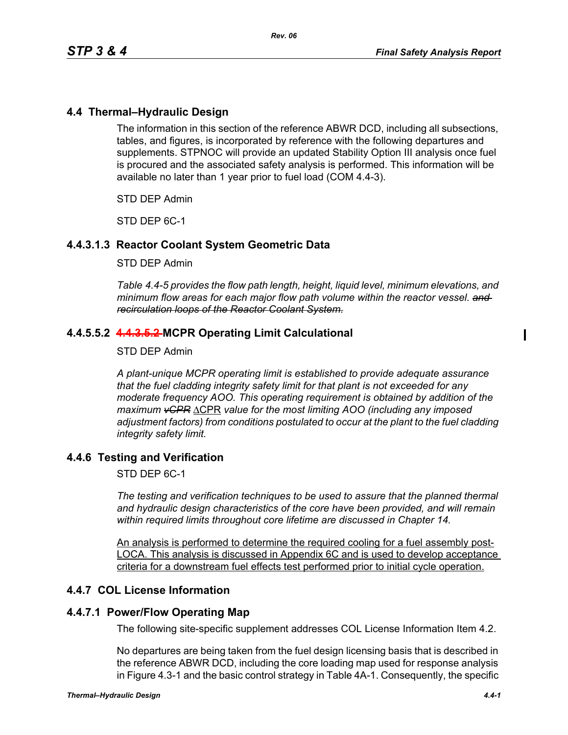# **4.4 Thermal–Hydraulic Design**

The information in this section of the reference ABWR DCD, including all subsections, tables, and figures, is incorporated by reference with the following departures and supplements. STPNOC will provide an updated Stability Option III analysis once fuel is procured and the associated safety analysis is performed. This information will be available no later than 1 year prior to fuel load (COM 4.4-3).

STD DEP Admin

STD DEP 6C-1

# **4.4.3.1.3 Reactor Coolant System Geometric Data**

#### STD DEP Admin

*Table 4.4-5 provides the flow path length, height, liquid level, minimum elevations, and minimum flow areas for each major flow path volume within the reactor vessel. and recirculation loops of the Reactor Coolant System.*

# **4.4.5.5.2 4.4.3.5.2 MCPR Operating Limit Calculational**

#### STD DEP Admin

*A plant-unique MCPR operating limit is established to provide adequate assurance that the fuel cladding integrity safety limit for that plant is not exceeded for any moderate frequency AOO. This operating requirement is obtained by addition of the maximum vCPR* ΔCPR *value for the most limiting AOO (including any imposed adjustment factors) from conditions postulated to occur at the plant to the fuel cladding integrity safety limit.*

## **4.4.6 Testing and Verification**

STD DEP 6C-1

*The testing and verification techniques to be used to assure that the planned thermal and hydraulic design characteristics of the core have been provided, and will remain within required limits throughout core lifetime are discussed in Chapter 14.*

An analysis is performed to determine the required cooling for a fuel assembly post-LOCA. This analysis is discussed in Appendix 6C and is used to develop acceptance criteria for a downstream fuel effects test performed prior to initial cycle operation.

## **4.4.7 COL License Information**

## **4.4.7.1 Power/Flow Operating Map**

The following site-specific supplement addresses COL License Information Item 4.2.

No departures are being taken from the fuel design licensing basis that is described in the reference ABWR DCD, including the core loading map used for response analysis in Figure 4.3-1 and the basic control strategy in Table 4A-1. Consequently, the specific